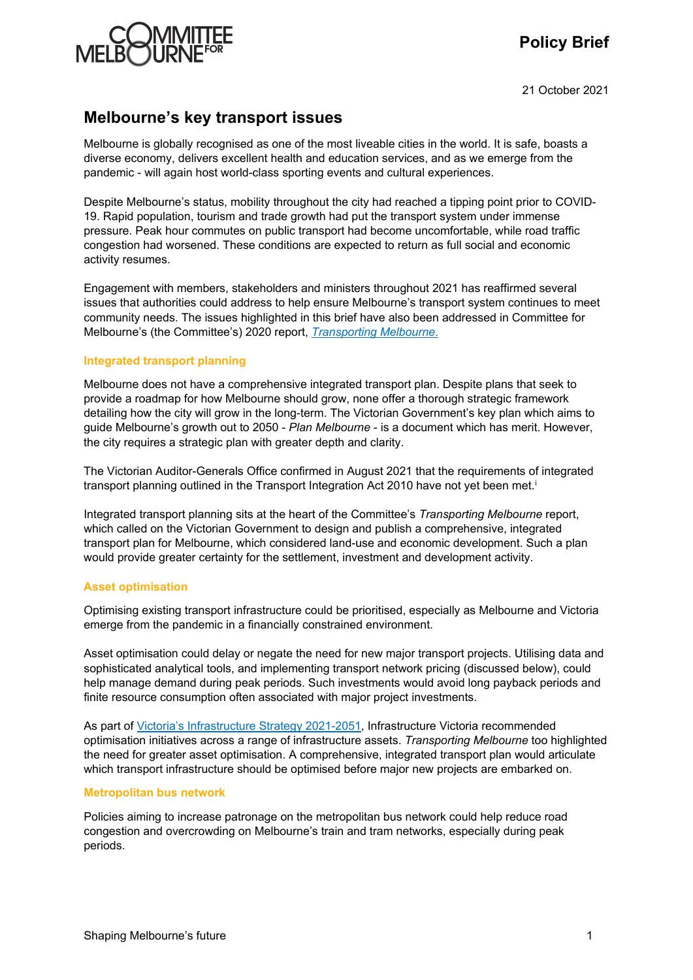# **Policy Brief**



21 October 2021

## **Melbourne's key transport issues**

Melbourne is globally recognised as one of the most liveable cities in the world. It is safe, boasts a diverse economy, delivers excellent health and education services, and as we emerge from the pandemic - will again host world-class sporting events and cultural experiences.

Despite Melbourne's status, mobility throughout the city had reached a tipping point prior to COVID-19. Rapid population, tourism and trade growth had put the transport system under immense pressure. Peak hour commutes on public transport had become uncomfortable, while road traffic congestion had worsened. These conditions are expected to return as full social and economic activity resumes.

Engagement with members, stakeholders and ministers throughout 2021 has reaffirmed several issues that authorities could address to help ensure Melbourne's transport system continues to meet community needs. The issues highlighted in this brief have also been addressed in Committee for Melbourne's (the Committee's) 2020 report, *[Transporting Melbourne](https://melbourne.org.au/wp-content/uploads/2020/07/Transporting-Melbourne-Transport-Report-CfM-2020.pdf)*.

### **Integrated transport planning**

Melbourne does not have a comprehensive integrated transport plan. Despite plans that seek to provide a roadmap for how Melbourne should grow, none offer a thorough strategic framework detailing how the city will grow in the long-term. The Victorian Government's key plan which aims to guide Melbourne's growth out to 2050 - *Plan Melbourne* - is a document which has merit. However, the city requires a strategic plan with greater depth and clarity.

The Victorian Auditor-Generals Office confirmed in August 2021 that the requirements of integrated transport plann[i](#page-2-0)ng outlined in the Transport Integration Act 2010 have not yet been met.<sup>i</sup>

Integrated transport planning sits at the heart of the Committee's *Transporting Melbourne* report, which called on the Victorian Government to design and publish a comprehensive, integrated transport plan for Melbourne, which considered land-use and economic development. Such a plan would provide greater certainty for the settlement, investment and development activity.

### **Asset optimisation**

Optimising existing transport infrastructure could be prioritised, especially as Melbourne and Victoria emerge from the pandemic in a financially constrained environment.

Asset optimisation could delay or negate the need for new major transport projects. Utilising data and sophisticated analytical tools, and implementing transport network pricing (discussed below), could help manage demand during peak periods. Such investments would avoid long payback periods and finite resource consumption often associated with major project investments.

As part of [Victoria's Infrastructure Strategy 2021-2051,](https://www.infrastructurevictoria.com.au/wp-content/uploads/2021/08/1.-Victorias-infrastructure-strategy-2021-2051-Vol-1.pdf) Infrastructure Victoria recommended optimisation initiatives across a range of infrastructure assets. *Transporting Melbourne* too highlighted the need for greater asset optimisation. A comprehensive, integrated transport plan would articulate which transport infrastructure should be optimised before major new projects are embarked on.

### **Metropolitan bus network**

Policies aiming to increase patronage on the metropolitan bus network could help reduce road congestion and overcrowding on Melbourne's train and tram networks, especially during peak periods.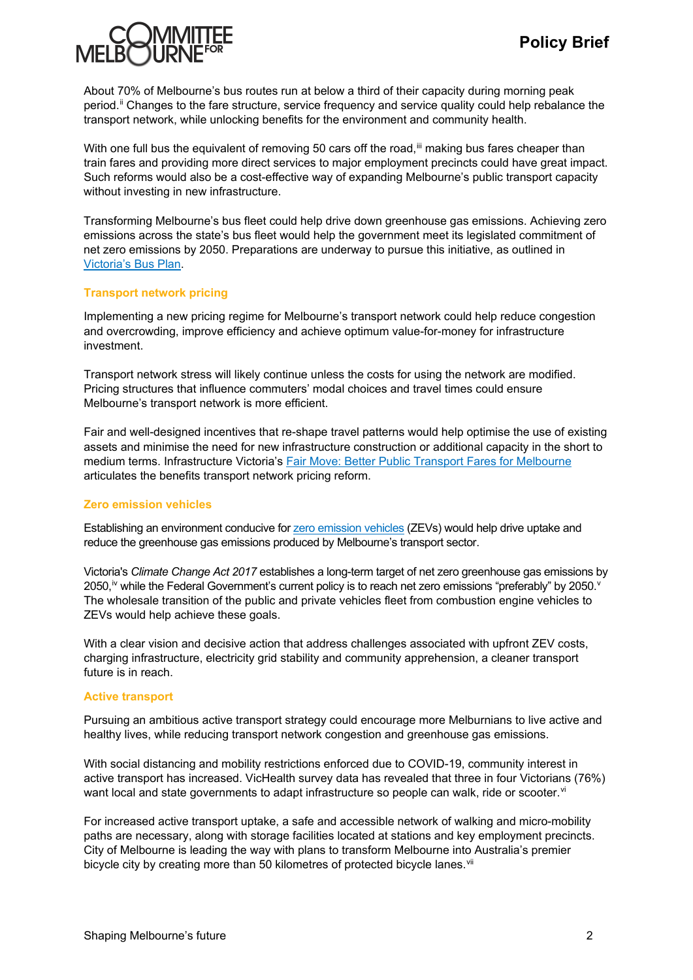

About 70% of Melbourne's bus routes run at below a third of their capacity during morning peak period.[ii](#page-2-1) Changes to the fare structure, service frequency and service quality could help rebalance the transport network, while unlocking benefits for the environment and community health.

With one full bus the equivalent of removing 50 cars off the road, [iii](#page-2-2) making bus fares cheaper than train fares and providing more direct services to major employment precincts could have great impact. Such reforms would also be a cost-effective way of expanding Melbourne's public transport capacity without investing in new infrastructure.

Transforming Melbourne's bus fleet could help drive down greenhouse gas emissions. Achieving zero emissions across the state's bus fleet would help the government meet its legislated commitment of net zero emissions by 2050. Preparations are underway to pursue this initiative, as outlined in [Victoria's Bus Plan.](https://transport.vic.gov.au/about/planning/transport-strategies-and-plans/)

### **Transport network pricing**

Implementing a new pricing regime for Melbourne's transport network could help reduce congestion and overcrowding, improve efficiency and achieve optimum value-for-money for infrastructure investment.

Transport network stress will likely continue unless the costs for using the network are modified. Pricing structures that influence commuters' modal choices and travel times could ensure Melbourne's transport network is more efficient.

Fair and well-designed incentives that re-shape travel patterns would help optimise the use of existing assets and minimise the need for new infrastructure construction or additional capacity in the short to medium terms. Infrastructure Victoria's [Fair Move: Better Public Transport Fares for Melbourne](https://www.infrastructurevictoria.com.au/wp-content/uploads/2020/09/Fair-Move-Better-Public-Transport-Fares-for-Melbourne-Final-2.pdf) articulates the benefits transport network pricing reform.

#### **Zero emission vehicles**

Establishing an environment conducive for [zero emission vehicles](https://melbourne.org.au/wp-content/uploads/2021/09/Policy-Brief_Zero-emission-vehicles_Sep-2021.pdf) (ZEVs) would help drive uptake and reduce the greenhouse gas emissions produced by Melbourne's transport sector.

Victoria's *Climate Change Act 2017* establishes a long-term target of net zero greenhouse gas emissions by 2050,<sup>i[v](#page-2-4)</sup> while the Federal Government's current policy is to reach net zero emissions "preferably" by 2050. $v$ The wholesale transition of the public and private vehicles fleet from combustion engine vehicles to ZEVs would help achieve these goals.

With a clear vision and decisive action that address challenges associated with upfront ZEV costs, charging infrastructure, electricity grid stability and community apprehension, a cleaner transport future is in reach.

#### **Active transport**

Pursuing an ambitious active transport strategy could encourage more Melburnians to live active and healthy lives, while reducing transport network congestion and greenhouse gas emissions.

With social distancing and mobility restrictions enforced due to COVID-19, community interest in active transport has increased. VicHealth survey data has revealed that three in four Victorians (76%) want local and state governments to adapt infrastructure so people can walk, ride or scooter.<sup>[vi](#page-2-5)</sup>

For increased active transport uptake, a safe and accessible network of walking and micro-mobility paths are necessary, along with storage facilities located at stations and key employment precincts. City of Melbourne is leading the way with plans to transform Melbourne into Australia's premier bicycle city by creating more than 50 kilometres of protected bicycle lanes.<sup>[vii](#page-2-6)</sup>